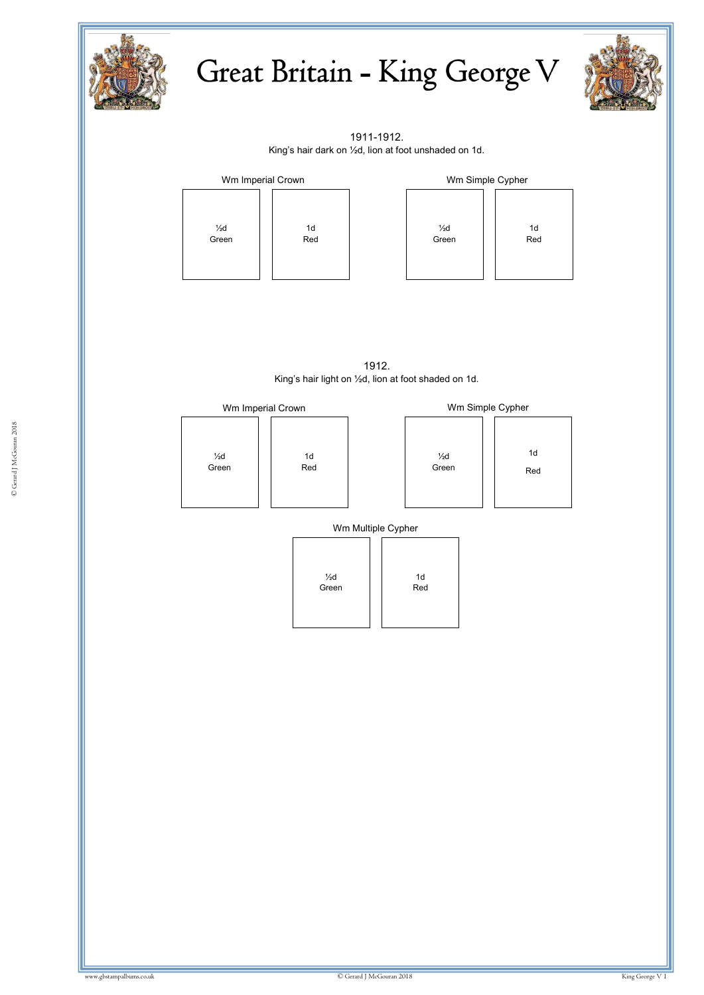

## Great Britain - King George V



1911-1912. King's hair dark on ½d, lion at foot unshaded on 1d.



| Wm Simple Cypher        |  |                       |  |  |
|-------------------------|--|-----------------------|--|--|
| $\frac{1}{2}d$<br>Green |  | 1 <sub>d</sub><br>Red |  |  |

1912. King's hair light on ½d, lion at foot shaded on 1d.

| Wm Imperial Crown |     | Wm Simple Cypher |     |
|-------------------|-----|------------------|-----|
| $\frac{1}{2}d$    | 1d  | $\frac{1}{2}d$   | 1d  |
| Green             | Red | Green            | Red |

Wm Multiple Cypher

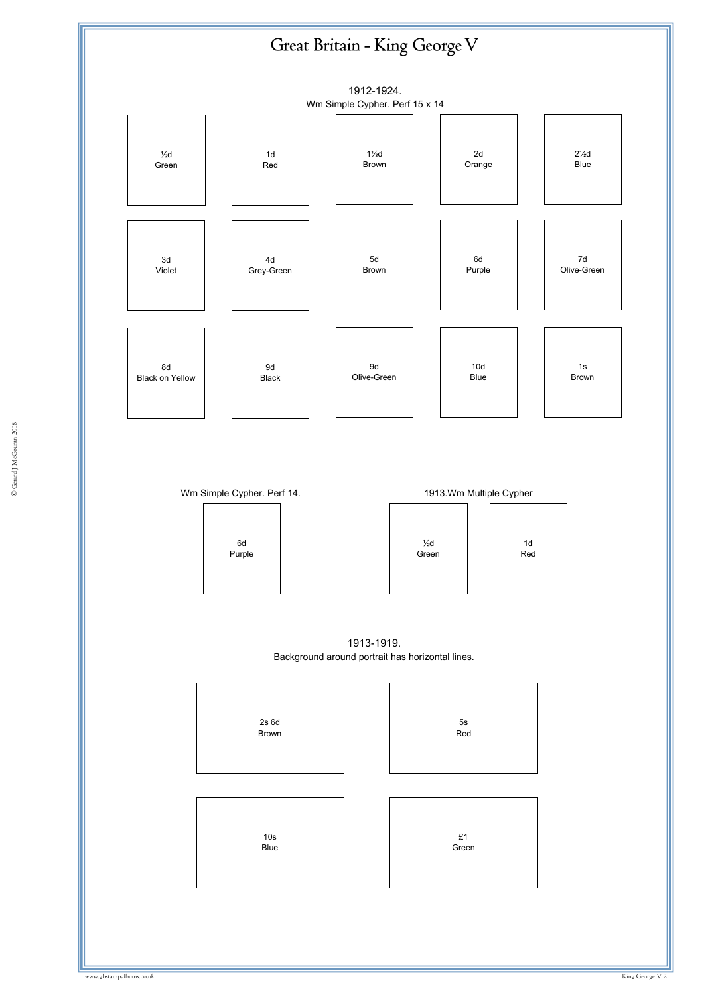





1913-1919. Background around portrait has horizontal lines.

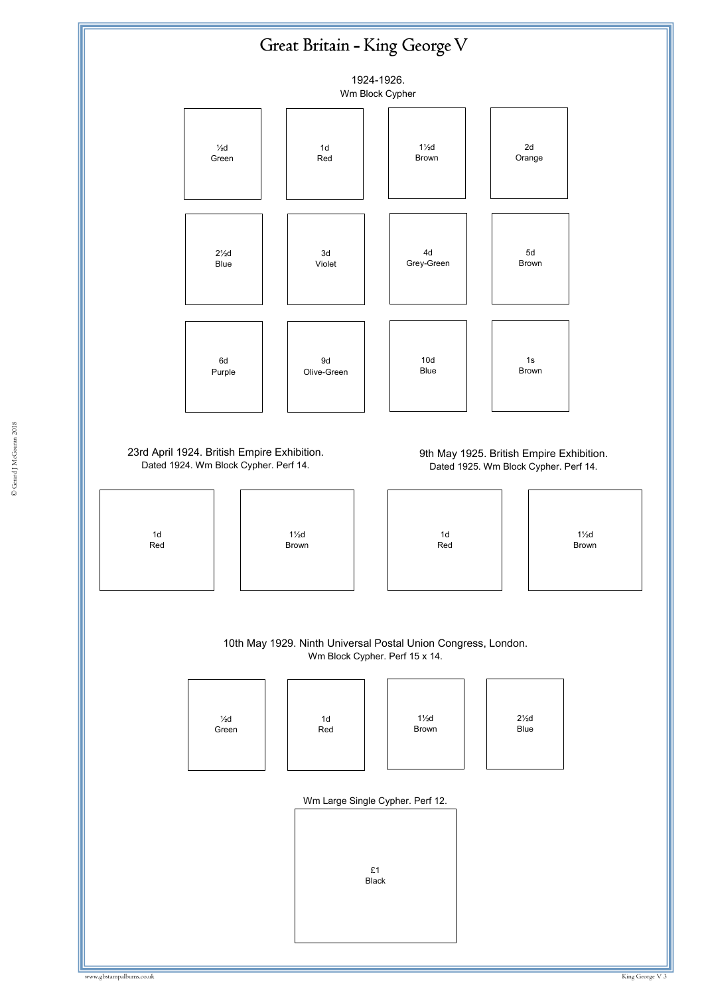